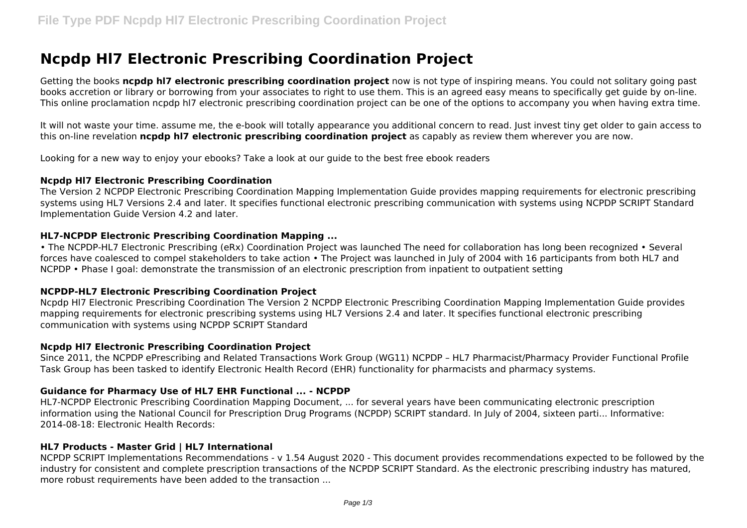# **Ncpdp Hl7 Electronic Prescribing Coordination Project**

Getting the books **ncpdp hl7 electronic prescribing coordination project** now is not type of inspiring means. You could not solitary going past books accretion or library or borrowing from your associates to right to use them. This is an agreed easy means to specifically get guide by on-line. This online proclamation ncpdp hl7 electronic prescribing coordination project can be one of the options to accompany you when having extra time.

It will not waste your time. assume me, the e-book will totally appearance you additional concern to read. Just invest tiny get older to gain access to this on-line revelation **ncpdp hl7 electronic prescribing coordination project** as capably as review them wherever you are now.

Looking for a new way to enjoy your ebooks? Take a look at our guide to the best free ebook readers

#### **Ncpdp Hl7 Electronic Prescribing Coordination**

The Version 2 NCPDP Electronic Prescribing Coordination Mapping Implementation Guide provides mapping requirements for electronic prescribing systems using HL7 Versions 2.4 and later. It specifies functional electronic prescribing communication with systems using NCPDP SCRIPT Standard Implementation Guide Version 4.2 and later.

## **HL7-NCPDP Electronic Prescribing Coordination Mapping ...**

• The NCPDP-HL7 Electronic Prescribing (eRx) Coordination Project was launched The need for collaboration has long been recognized • Several forces have coalesced to compel stakeholders to take action • The Project was launched in July of 2004 with 16 participants from both HL7 and NCPDP • Phase I goal: demonstrate the transmission of an electronic prescription from inpatient to outpatient setting

# **NCPDP-HL7 Electronic Prescribing Coordination Project**

Ncpdp Hl7 Electronic Prescribing Coordination The Version 2 NCPDP Electronic Prescribing Coordination Mapping Implementation Guide provides mapping requirements for electronic prescribing systems using HL7 Versions 2.4 and later. It specifies functional electronic prescribing communication with systems using NCPDP SCRIPT Standard

## **Ncpdp Hl7 Electronic Prescribing Coordination Project**

Since 2011, the NCPDP ePrescribing and Related Transactions Work Group (WG11) NCPDP – HL7 Pharmacist/Pharmacy Provider Functional Profile Task Group has been tasked to identify Electronic Health Record (EHR) functionality for pharmacists and pharmacy systems.

## **Guidance for Pharmacy Use of HL7 EHR Functional ... - NCPDP**

HL7-NCPDP Electronic Prescribing Coordination Mapping Document, ... for several years have been communicating electronic prescription information using the National Council for Prescription Drug Programs (NCPDP) SCRIPT standard. In July of 2004, sixteen parti... Informative: 2014-08-18: Electronic Health Records:

## **HL7 Products - Master Grid | HL7 International**

NCPDP SCRIPT Implementations Recommendations - v 1.54 August 2020 - This document provides recommendations expected to be followed by the industry for consistent and complete prescription transactions of the NCPDP SCRIPT Standard. As the electronic prescribing industry has matured, more robust requirements have been added to the transaction ...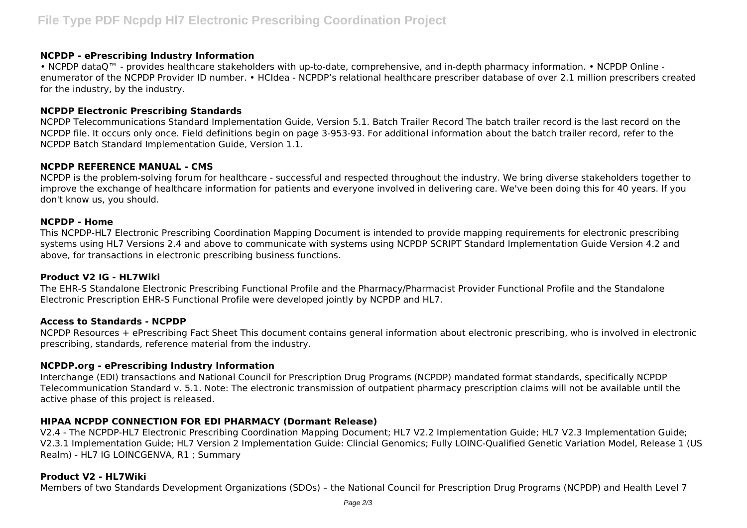## **NCPDP - ePrescribing Industry Information**

• NCPDP dataQ™ - provides healthcare stakeholders with up-to-date, comprehensive, and in-depth pharmacy information. • NCPDP Online enumerator of the NCPDP Provider ID number. • HCIdea - NCPDP's relational healthcare prescriber database of over 2.1 million prescribers created for the industry, by the industry.

## **NCPDP Electronic Prescribing Standards**

NCPDP Telecommunications Standard Implementation Guide, Version 5.1. Batch Trailer Record The batch trailer record is the last record on the NCPDP file. It occurs only once. Field definitions begin on page 3-953-93. For additional information about the batch trailer record, refer to the NCPDP Batch Standard Implementation Guide, Version 1.1.

# **NCPDP REFERENCE MANUAL - CMS**

NCPDP is the problem-solving forum for healthcare - successful and respected throughout the industry. We bring diverse stakeholders together to improve the exchange of healthcare information for patients and everyone involved in delivering care. We've been doing this for 40 years. If you don't know us, you should.

## **NCPDP - Home**

This NCPDP-HL7 Electronic Prescribing Coordination Mapping Document is intended to provide mapping requirements for electronic prescribing systems using HL7 Versions 2.4 and above to communicate with systems using NCPDP SCRIPT Standard Implementation Guide Version 4.2 and above, for transactions in electronic prescribing business functions.

## **Product V2 IG - HL7Wiki**

The EHR-S Standalone Electronic Prescribing Functional Profile and the Pharmacy/Pharmacist Provider Functional Profile and the Standalone Electronic Prescription EHR-S Functional Profile were developed jointly by NCPDP and HL7.

## **Access to Standards - NCPDP**

NCPDP Resources + ePrescribing Fact Sheet This document contains general information about electronic prescribing, who is involved in electronic prescribing, standards, reference material from the industry.

# **NCPDP.org - ePrescribing Industry Information**

Interchange (EDI) transactions and National Council for Prescription Drug Programs (NCPDP) mandated format standards, specifically NCPDP Telecommunication Standard v. 5.1. Note: The electronic transmission of outpatient pharmacy prescription claims will not be available until the active phase of this project is released.

# **HIPAA NCPDP CONNECTION FOR EDI PHARMACY (Dormant Release)**

V2.4 - The NCPDP-HL7 Electronic Prescribing Coordination Mapping Document; HL7 V2.2 Implementation Guide; HL7 V2.3 Implementation Guide; V2.3.1 Implementation Guide; HL7 Version 2 Implementation Guide: Clincial Genomics; Fully LOINC-Qualified Genetic Variation Model, Release 1 (US Realm) - HL7 IG LOINCGENVA, R1 ; Summary

# **Product V2 - HL7Wiki**

Members of two Standards Development Organizations (SDOs) – the National Council for Prescription Drug Programs (NCPDP) and Health Level 7